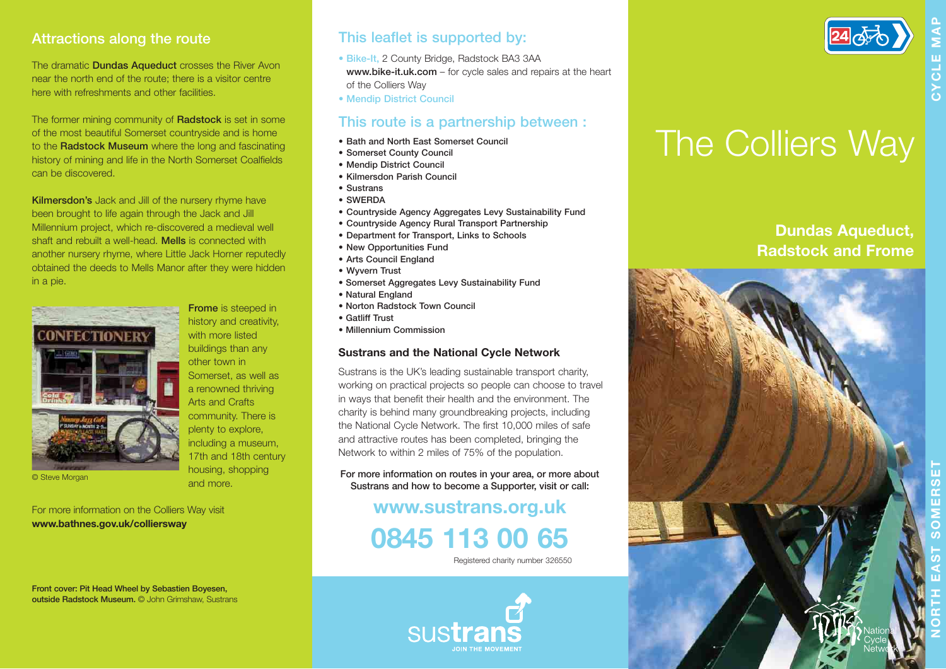## **Attractions along the route**

The dramatic **Dundas Aqueduct** crosses the River Avon near the north end of the route; there is a visitor centre here with refreshments and other facilities.

The former mining community of **Radstock** is set in some of the most beautiful Somerset countryside and is home to the **Radstock Museum** where the long and fascinating history of mining and life in the North Somerset Coalfields can be discovered.

**Kilmersdon's** Jack and Jill of the nursery rhyme have been brought to life again through the Jack and Jill Millennium project, which re-discovered a medieval well shaft and rebuilt a well-head. **Mells** is connected with another nursery rhyme, where Little Jack Horner reputedly obtained the deeds to Mells Manor after they were hidden in a pie.



**Frome** is steeped in history and creativity, with more listed buildings than any other town in Somerset, as well as a renowned thriving Arts and Crafts community. There is plenty to explore, including a museum, 17th and 18th century housing, shopping and more.

For more information on the Colliers Way visit **www.bathnes.gov.uk/colliersway** 

**Front cover: Pit Head Wheel by Sebastien Boyesen, outside Radstock Museum.** © John Grimshaw, Sustrans

## **This leaflet is supported by:**

- **Bike-It,** 2 County Bridge, Radstock BA3 3AA **www.bike-it.uk.com** – for cycle sales and repairs at the heart of the Colliers Way
- **Mendip District Council**

### **This route is a partnership between :**

- **Bath and North East Somerset Council**
- **Somerset County Council**
- **Mendip District Council**
- **Kilmersdon Parish Council**
- **Sustrans**
- **SWERDA**
- **Countryside Agency Aggregates Levy Sustainability Fund**
- **Countryside Agency Rural Transport Partnership**
- **Department for Transport, Links to Schools**
- **New Opportunities Fund**
- **Arts Council England**
- **Wyvern Trust**
- **Somerset Aggregates Levy Sustainability Fund**
- **Natural England**
- **Norton Radstock Town Council**
- **Gatliff Trust**
- **Millennium Commission**

#### **Sustrans and the National Cycle Network**

Sustrans is the UK's leading sustainable transport charity, working on practical projects so people can choose to travel in ways that benefit their health and the environment. The charity is behind many groundbreaking projects, including the National Cycle Network. The first 10,000 miles of safe and attractive routes has been completed, bringing the Network to within 2 miles of 75% of the population.

#### **For more information on routes in your area, or more about Sustrans and how to become a Supporter, visit or call:**

# **www.sustrans.org.uk**

**0845 113 00 65** 

Registered charity number 326550





# The Colliers Way

# **Dundas Aqueduct, Radstock and Frome**



**NORTH EAST SOMERSET** 

 $\omega$ ш